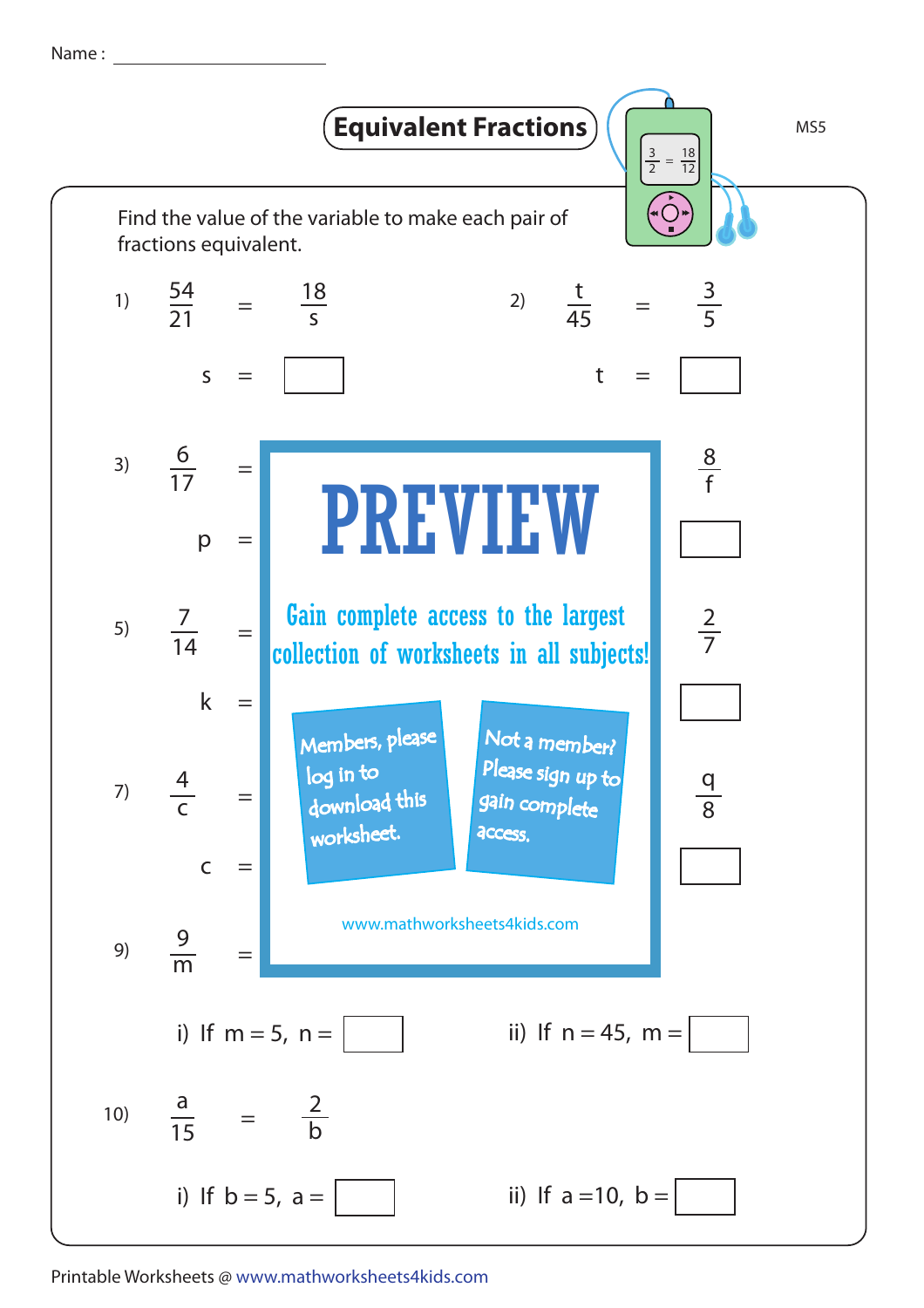Name :